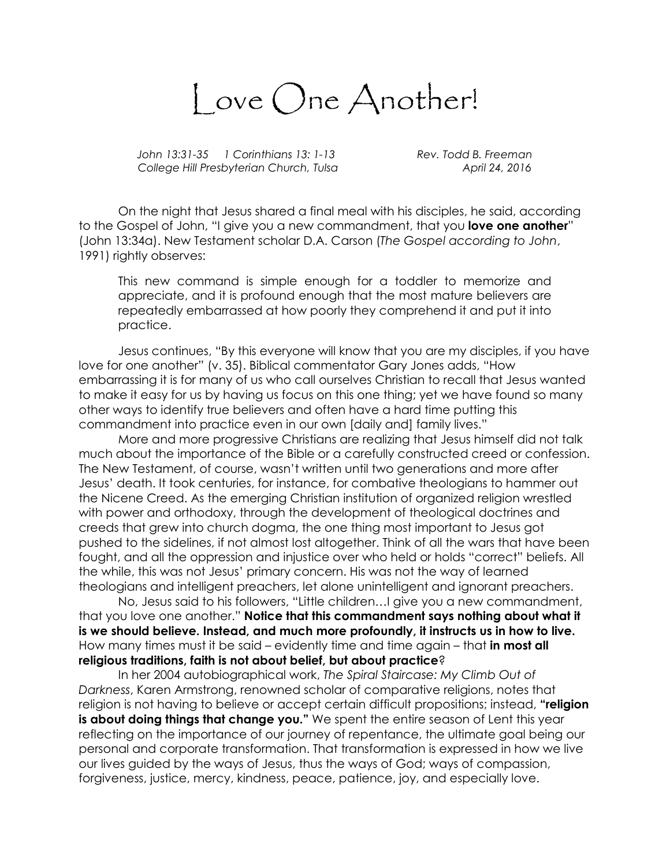Love One Another!

John 13:31-35 1 Corinthians 13: 1-13 Rev. Todd B. Freeman College Hill Presbyterian Church, Tulsa April 24, 2016

On the night that Jesus shared a final meal with his disciples, he said, according to the Gospel of John, "I give you a new commandment, that you **love one another**" (John 13:34a). New Testament scholar D.A. Carson (The Gospel according to John, 1991) rightly observes:

This new command is simple enough for a toddler to memorize and appreciate, and it is profound enough that the most mature believers are repeatedly embarrassed at how poorly they comprehend it and put it into practice.

Jesus continues, "By this everyone will know that you are my disciples, if you have love for one another" (v. 35). Biblical commentator Gary Jones adds, "How embarrassing it is for many of us who call ourselves Christian to recall that Jesus wanted to make it easy for us by having us focus on this one thing; yet we have found so many other ways to identify true believers and often have a hard time putting this commandment into practice even in our own [daily and] family lives."

More and more progressive Christians are realizing that Jesus himself did not talk much about the importance of the Bible or a carefully constructed creed or confession. The New Testament, of course, wasn't written until two generations and more after Jesus' death. It took centuries, for instance, for combative theologians to hammer out the Nicene Creed. As the emerging Christian institution of organized religion wrestled with power and orthodoxy, through the development of theological doctrines and creeds that grew into church dogma, the one thing most important to Jesus got pushed to the sidelines, if not almost lost altogether. Think of all the wars that have been fought, and all the oppression and injustice over who held or holds "correct" beliefs. All the while, this was not Jesus' primary concern. His was not the way of learned theologians and intelligent preachers, let alone unintelligent and ignorant preachers.

No, Jesus said to his followers, "Little children…I give you a new commandment, that you love one another." Notice that this commandment says nothing about what it is we should believe. Instead, and much more profoundly, it instructs us in how to live. How many times must it be said – evidently time and time again – that in most all religious traditions, faith is not about belief, but about practice?

In her 2004 autobiographical work, The Spiral Staircase: My Climb Out of Darkness, Karen Armstrong, renowned scholar of comparative religions, notes that religion is not having to believe or accept certain difficult propositions; instead, "religion is about doing things that change you." We spent the entire season of Lent this year reflecting on the importance of our journey of repentance, the ultimate goal being our personal and corporate transformation. That transformation is expressed in how we live our lives guided by the ways of Jesus, thus the ways of God; ways of compassion, forgiveness, justice, mercy, kindness, peace, patience, joy, and especially love.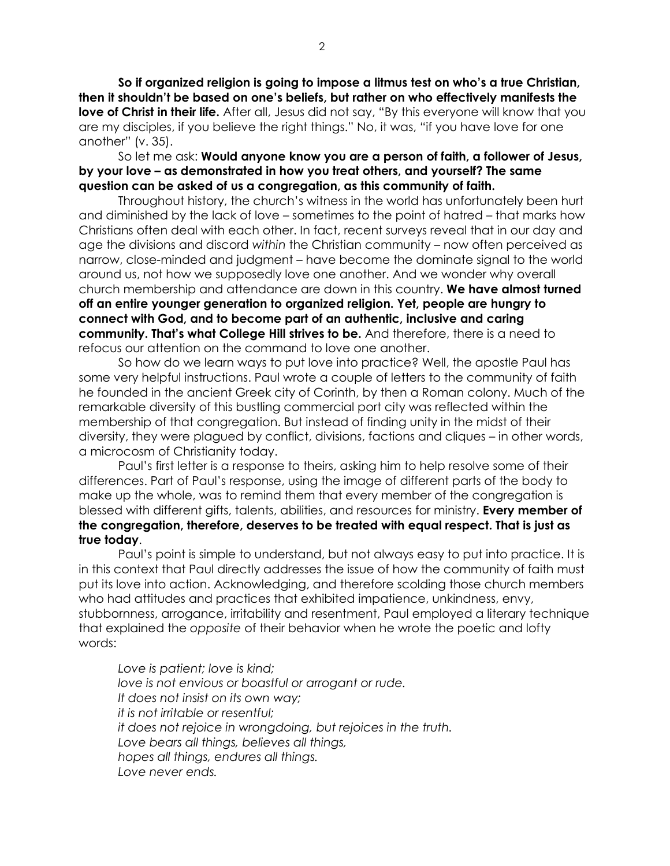So if organized religion is going to impose a litmus test on who's a true Christian, then it shouldn't be based on one's beliefs, but rather on who effectively manifests the **love of Christ in their life.** After all, Jesus did not say, "By this everyone will know that you are my disciples, if you believe the right things." No, it was, "if you have love for one another" (v. 35).

So let me ask: Would anyone know you are a person of faith, a follower of Jesus, by your love – as demonstrated in how you treat others, and yourself? The same question can be asked of us a congregation, as this community of faith.

Throughout history, the church's witness in the world has unfortunately been hurt and diminished by the lack of love – sometimes to the point of hatred – that marks how Christians often deal with each other. In fact, recent surveys reveal that in our day and age the divisions and discord within the Christian community – now often perceived as narrow, close-minded and judgment – have become the dominate signal to the world around us, not how we supposedly love one another. And we wonder why overall church membership and attendance are down in this country. We have almost turned off an entire younger generation to organized religion. Yet, people are hungry to connect with God, and to become part of an authentic, inclusive and caring community. That's what College Hill strives to be. And therefore, there is a need to refocus our attention on the command to love one another.

So how do we learn ways to put love into practice? Well, the apostle Paul has some very helpful instructions. Paul wrote a couple of letters to the community of faith he founded in the ancient Greek city of Corinth, by then a Roman colony. Much of the remarkable diversity of this bustling commercial port city was reflected within the membership of that congregation. But instead of finding unity in the midst of their diversity, they were plagued by conflict, divisions, factions and cliques – in other words, a microcosm of Christianity today.

Paul's first letter is a response to theirs, asking him to help resolve some of their differences. Part of Paul's response, using the image of different parts of the body to make up the whole, was to remind them that every member of the congregation is blessed with different gifts, talents, abilities, and resources for ministry. Every member of the congregation, therefore, deserves to be treated with equal respect. That is just as true today.

Paul's point is simple to understand, but not always easy to put into practice. It is in this context that Paul directly addresses the issue of how the community of faith must put its love into action. Acknowledging, and therefore scolding those church members who had attitudes and practices that exhibited impatience, unkindness, envy, stubbornness, arrogance, irritability and resentment, Paul employed a literary technique that explained the opposite of their behavior when he wrote the poetic and lofty words:

Love is patient; love is kind; love is not envious or boastful or arrogant or rude. It does not insist on its own way; it is not irritable or resentful; it does not rejoice in wrongdoing, but rejoices in the truth. Love bears all things, believes all things, hopes all things, endures all things. Love never ends.